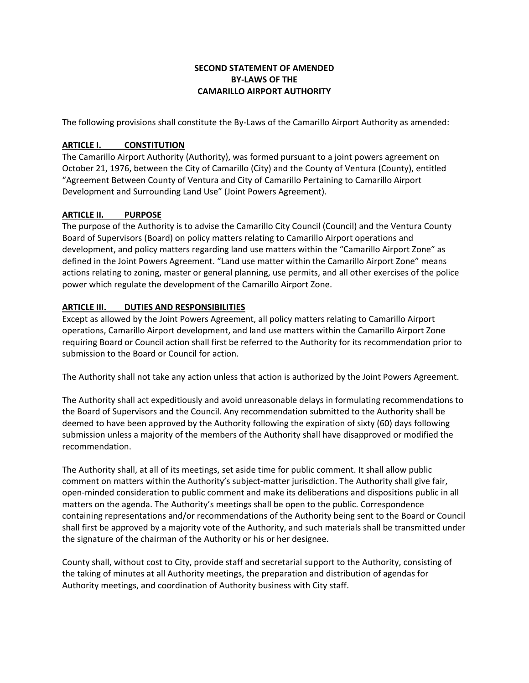## **SECOND STATEMENT OF AMENDED BY-LAWS OF THE CAMARILLO AIRPORT AUTHORITY**

The following provisions shall constitute the By-Laws of the Camarillo Airport Authority as amended:

# **ARTICLE I. CONSTITUTION**

The Camarillo Airport Authority (Authority), was formed pursuant to a joint powers agreement on October 21, 1976, between the City of Camarillo (City) and the County of Ventura (County), entitled "Agreement Between County of Ventura and City of Camarillo Pertaining to Camarillo Airport Development and Surrounding Land Use" (Joint Powers Agreement).

### **ARTICLE II. PURPOSE**

The purpose of the Authority is to advise the Camarillo City Council (Council) and the Ventura County Board of Supervisors (Board) on policy matters relating to Camarillo Airport operations and development, and policy matters regarding land use matters within the "Camarillo Airport Zone" as defined in the Joint Powers Agreement. "Land use matter within the Camarillo Airport Zone" means actions relating to zoning, master or general planning, use permits, and all other exercises of the police power which regulate the development of the Camarillo Airport Zone.

## **ARTICLE III. DUTIES AND RESPONSIBILITIES**

Except as allowed by the Joint Powers Agreement, all policy matters relating to Camarillo Airport operations, Camarillo Airport development, and land use matters within the Camarillo Airport Zone requiring Board or Council action shall first be referred to the Authority for its recommendation prior to submission to the Board or Council for action.

The Authority shall not take any action unless that action is authorized by the Joint Powers Agreement.

The Authority shall act expeditiously and avoid unreasonable delays in formulating recommendations to the Board of Supervisors and the Council. Any recommendation submitted to the Authority shall be deemed to have been approved by the Authority following the expiration of sixty (60) days following submission unless a majority of the members of the Authority shall have disapproved or modified the recommendation.

The Authority shall, at all of its meetings, set aside time for public comment. It shall allow public comment on matters within the Authority's subject-matter jurisdiction. The Authority shall give fair, open-minded consideration to public comment and make its deliberations and dispositions public in all matters on the agenda. The Authority's meetings shall be open to the public. Correspondence containing representations and/or recommendations of the Authority being sent to the Board or Council shall first be approved by a majority vote of the Authority, and such materials shall be transmitted under the signature of the chairman of the Authority or his or her designee.

County shall, without cost to City, provide staff and secretarial support to the Authority, consisting of the taking of minutes at all Authority meetings, the preparation and distribution of agendas for Authority meetings, and coordination of Authority business with City staff.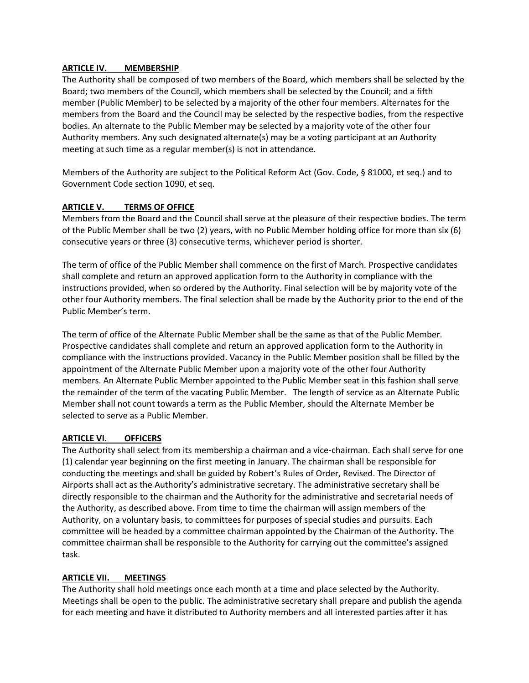### **ARTICLE IV. MEMBERSHIP**

The Authority shall be composed of two members of the Board, which members shall be selected by the Board; two members of the Council, which members shall be selected by the Council; and a fifth member (Public Member) to be selected by a majority of the other four members. Alternates for the members from the Board and the Council may be selected by the respective bodies, from the respective bodies. An alternate to the Public Member may be selected by a majority vote of the other four Authority members. Any such designated alternate(s) may be a voting participant at an Authority meeting at such time as a regular member(s) is not in attendance.

Members of the Authority are subject to the Political Reform Act (Gov. Code, § 81000, et seq.) and to Government Code section 1090, et seq.

#### **ARTICLE V. TERMS OF OFFICE**

Members from the Board and the Council shall serve at the pleasure of their respective bodies. The term of the Public Member shall be two (2) years, with no Public Member holding office for more than six (6) consecutive years or three (3) consecutive terms, whichever period is shorter.

The term of office of the Public Member shall commence on the first of March. Prospective candidates shall complete and return an approved application form to the Authority in compliance with the instructions provided, when so ordered by the Authority. Final selection will be by majority vote of the other four Authority members. The final selection shall be made by the Authority prior to the end of the Public Member's term.

The term of office of the Alternate Public Member shall be the same as that of the Public Member. Prospective candidates shall complete and return an approved application form to the Authority in compliance with the instructions provided. Vacancy in the Public Member position shall be filled by the appointment of the Alternate Public Member upon a majority vote of the other four Authority members. An Alternate Public Member appointed to the Public Member seat in this fashion shall serve the remainder of the term of the vacating Public Member. The length of service as an Alternate Public Member shall not count towards a term as the Public Member, should the Alternate Member be selected to serve as a Public Member.

### **ARTICLE VI. OFFICERS**

The Authority shall select from its membership a chairman and a vice-chairman. Each shall serve for one (1) calendar year beginning on the first meeting in January. The chairman shall be responsible for conducting the meetings and shall be guided by Robert's Rules of Order, Revised. The Director of Airports shall act as the Authority's administrative secretary. The administrative secretary shall be directly responsible to the chairman and the Authority for the administrative and secretarial needs of the Authority, as described above. From time to time the chairman will assign members of the Authority, on a voluntary basis, to committees for purposes of special studies and pursuits. Each committee will be headed by a committee chairman appointed by the Chairman of the Authority. The committee chairman shall be responsible to the Authority for carrying out the committee's assigned task.

#### **ARTICLE VII. MEETINGS**

The Authority shall hold meetings once each month at a time and place selected by the Authority. Meetings shall be open to the public. The administrative secretary shall prepare and publish the agenda for each meeting and have it distributed to Authority members and all interested parties after it has